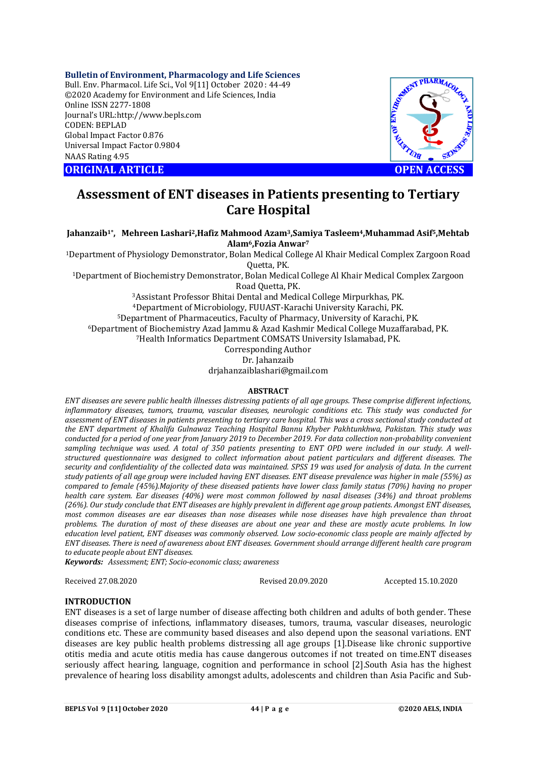# **Bulletin of Environment, Pharmacology and Life Sciences**

Bull. Env. Pharmacol. Life Sci., Vol 9[11] October 2020 : 44-49 ©2020 Academy for Environment and Life Sciences, India Online ISSN 2277-1808 Journal's URL:<http://www.bepls.com> CODEN: BEPLAD Global Impact Factor 0.876 Universal Impact Factor 0.9804 NAAS Rating 4.95





# **Assessment of ENT diseases in Patients presenting to Tertiary Care Hospital**

**Jahanzaib1\*, Mehreen Lashari2,Hafiz Mahmood Azam3,Samiya Tasleem4,Muhammad Asif5,Mehtab Alam6,Fozia Anwar<sup>7</sup>**

<sup>1</sup>Department of Physiology Demonstrator, Bolan Medical College Al Khair Medical Complex Zargoon Road Quetta, PK.

<sup>1</sup>Department of Biochemistry Demonstrator, Bolan Medical College Al Khair Medical Complex Zargoon Road Quetta, PK.

Assistant Professor Bhitai Dental and Medical College Mirpurkhas, PK. Department of Microbiology, FUUAST-Karachi University Karachi, PK. Department of Pharmaceutics, Faculty of Pharmacy, University of Karachi, PK. Department of Biochemistry Azad Jammu & Azad Kashmir Medical College Muzaffarabad, PK. Health Informatics Department COMSATS University Islamabad, PK. Corresponding Author

Dr. Jahanzaib

[drjahanzaiblashari@gmail.com](mailto:drjahanzaiblashari@gmail.com)

#### **ABSTRACT**

*ENT diseases are severe public health illnesses distressing patients of all age groups. These comprise different infections, inflammatory diseases, tumors, trauma, vascular diseases, neurologic conditions etc. This study was conducted for assessment of ENT diseases in patients presenting to tertiary care hospital. This was a cross sectional study conducted at the ENT department of Khalifa Gulnawaz Teaching Hospital Bannu Khyber Pakhtunkhwa, Pakistan. This study was conducted for a period of one year from January 2019 to December 2019. For data collection non-probability convenient sampling technique was used. A total of 350 patients presenting to ENT OPD were included in our study. A wellstructured questionnaire was designed to collect information about patient particulars and different diseases. The security and confidentiality of the collected data was maintained. SPSS 19 was used for analysis of data. In the current study patients of all age group were included having ENT diseases. ENT disease prevalence was higher in male (55%) as compared to female (45%).Majority of these diseased patients have lower class family status (70%) having no proper health care system. Ear diseases (40%) were most common followed by nasal diseases (34%) and throat problems (26%). Our study conclude that ENT diseases are highly prevalent in different age group patients. Amongst ENT diseases, most common diseases are ear diseases than nose diseases while nose diseases have high prevalence than throat problems. The duration of most of these diseases are about one year and these are mostly acute problems. In low education level patient, ENT diseases was commonly observed. Low socio-economic class people are mainly affected by ENT diseases. There is need of awareness about ENT diseases. Government should arrange different health care program to educate people about ENT diseases.*

*Keywords: Assessment; ENT; Socio-economic class; awareness*

Received 27.08.2020 Revised 20.09.2020 Accepted 15.10.2020

## **INTRODUCTION**

ENT diseases is a set of large number of disease affecting both children and adults of both gender. These diseases comprise of infections, inflammatory diseases, tumors, trauma, vascular diseases, neurologic conditions etc. These are community based diseases and also depend upon the seasonal variations. ENT diseases are key public health problems distressing all age groups [1].Disease like chronic supportive otitis media and acute otitis media has cause dangerous outcomes if not treated on time.ENT diseases seriously affect hearing, language, cognition and performance in school [2].South Asia has the highest prevalence of hearing loss disability amongst adults, adolescents and children than Asia Pacific and Sub-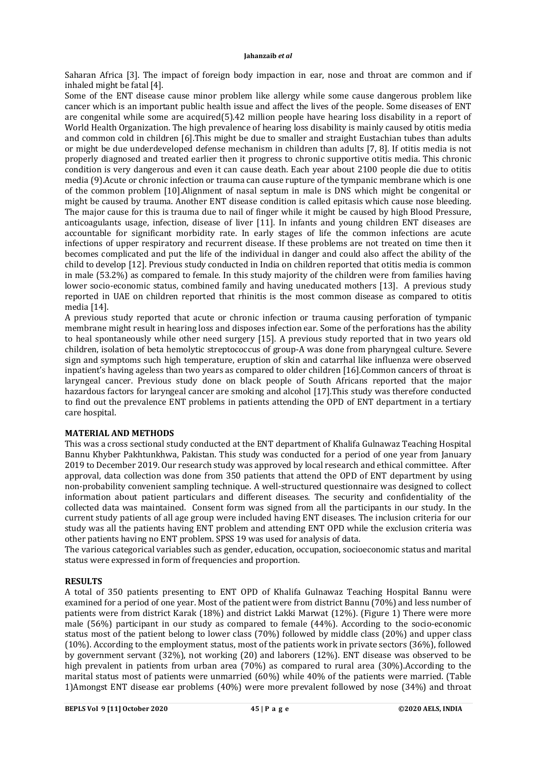Saharan Africa [3]. The impact of foreign body impaction in ear, nose and throat are common and if inhaled might be fatal [4].

Some of the ENT disease cause minor problem like allergy while some cause dangerous problem like cancer which is an important public health issue and affect the lives of the people. Some diseases of ENT are congenital while some are acquired(5).42 million people have hearing loss disability in a report of World Health Organization. The high prevalence of hearing loss disability is mainly caused by otitis media and common cold in children [6].This might be due to smaller and straight Eustachian tubes than adults or might be due underdeveloped defense mechanism in children than adults [7, 8]. If otitis media is not properly diagnosed and treated earlier then it progress to chronic supportive otitis media. This chronic condition is very dangerous and even it can cause death. Each year about 2100 people die due to otitis media (9).Acute or chronic infection or trauma can cause rupture of the tympanic membrane which is one of the common problem [10].Alignment of nasal septum in male is DNS which might be congenital or might be caused by trauma. Another ENT disease condition is called epitasis which cause nose bleeding. The major cause for this is trauma due to nail of finger while it might be caused by high Blood Pressure, anticoagulants usage, infection, disease of liver [11]. In infants and young children ENT diseases are accountable for significant morbidity rate. In early stages of life the common infections are acute infections of upper respiratory and recurrent disease. If these problems are not treated on time then it becomes complicated and put the life of the individual in danger and could also affect the ability of the child to develop [12]. Previous study conducted in India on children reported that otitis media is common in male (53.2%) as compared to female. In this study majority of the children were from families having lower socio-economic status, combined family and having uneducated mothers [13]. A previous study reported in UAE on children reported that rhinitis is the most common disease as compared to otitis media [14].

A previous study reported that acute or chronic infection or trauma causing perforation of tympanic membrane might result in hearing loss and disposes infection ear. Some of the perforations has the ability to heal spontaneously while other need surgery [15]. A previous study reported that in two years old children, isolation of beta hemolytic streptococcus of group-A was done from pharyngeal culture. Severe sign and symptoms such high temperature, eruption of skin and catarrhal like influenza were observed inpatient's having ageless than two years as compared to older children [16].Common cancers of throat is laryngeal cancer. Previous study done on black people of South Africans reported that the major hazardous factors for laryngeal cancer are smoking and alcohol [17].This study was therefore conducted to find out the prevalence ENT problems in patients attending the OPD of ENT department in a tertiary care hospital.

# **MATERIAL AND METHODS**

This was a cross sectional study conducted at the ENT department of Khalifa Gulnawaz Teaching Hospital Bannu Khyber Pakhtunkhwa, Pakistan. This study was conducted for a period of one year from January 2019 to December 2019. Our research study was approved by local research and ethical committee. After approval, data collection was done from 350 patients that attend the OPD of ENT department by using non-probability convenient sampling technique. A well-structured questionnaire was designed to collect information about patient particulars and different diseases. The security and confidentiality of the collected data was maintained. Consent form was signed from all the participants in our study. In the current study patients of all age group were included having ENT diseases. The inclusion criteria for our study was all the patients having ENT problem and attending ENT OPD while the exclusion criteria was other patients having no ENT problem. SPSS 19 was used for analysis of data.

The various categorical variables such as gender, education, occupation, socioeconomic status and marital status were expressed in form of frequencies and proportion.

## **RESULTS**

A total of 350 patients presenting to ENT OPD of Khalifa Gulnawaz Teaching Hospital Bannu were examined for a period of one year. Most of the patient were from district Bannu (70%) and less number of patients were from district Karak (18%) and district Lakki Marwat (12%). (Figure 1) There were more male (56%) participant in our study as compared to female (44%). According to the socio-economic status most of the patient belong to lower class (70%) followed by middle class (20%) and upper class (10%). According to the employment status, most of the patients work in private sectors (36%), followed by government servant (32%), not working (20) and laborers (12%). ENT disease was observed to be high prevalent in patients from urban area (70%) as compared to rural area (30%). According to the marital status most of patients were unmarried (60%) while 40% of the patients were married. (Table 1)Amongst ENT disease ear problems (40%) were more prevalent followed by nose (34%) and throat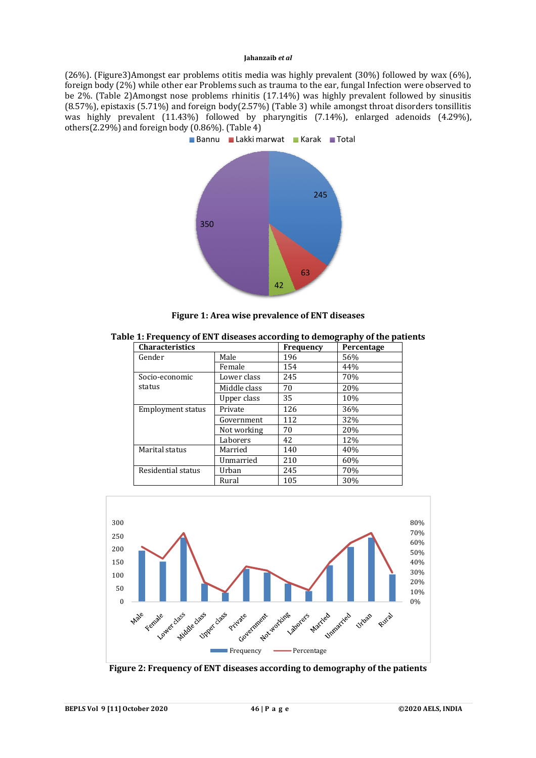(26%). (Figure3)Amongst ear problems otitis media was highly prevalent (30%) followed by wax (6%), foreign body (2%) while other ear Problems such as trauma to the ear, fungal Infection were observed to be 2%. (Table 2)Amongst nose problems rhinitis (17.14%) was highly prevalent followed by sinusitis (8.57%), epistaxis (5.71%) and foreign body(2.57%) (Table 3) while amongst throat disorders tonsillitis was highly prevalent (11.43%) followed by pharyngitis (7.14%), enlarged adenoids (4.29%), others $(2.29\%)$  and foreign body  $(0.86\%)$ . (Table 4)



**Figure 1: Area wise prevalence of ENT diseases**

| Table 1: Frequency of ENT diseases according to demography of the patients |  |  |
|----------------------------------------------------------------------------|--|--|
|                                                                            |  |  |

| <b>Characteristics</b>   |              | Frequency | Percentage |
|--------------------------|--------------|-----------|------------|
| Gender                   | Male         | 196       | 56%        |
|                          | Female       | 154       | 44%        |
| Socio-economic           | Lower class  | 245       | 70%        |
| status                   | Middle class | 70        | 20%        |
|                          | Upper class  | 35        | 10%        |
| <b>Employment status</b> | Private      | 126       | 36%        |
|                          | Government   | 112       | 32%        |
|                          | Not working  | 70        | 20%        |
|                          | Laborers     | 42        | 12%        |
| Marital status           | Married      | 140       | 40%        |
|                          | Unmarried    | 210       | 60%        |
| Residential status       | Urban        | 245       | 70%        |
|                          | Rural        | 105       | 30%        |



**Figure 2: Frequency of ENT diseases according to demography of the patients**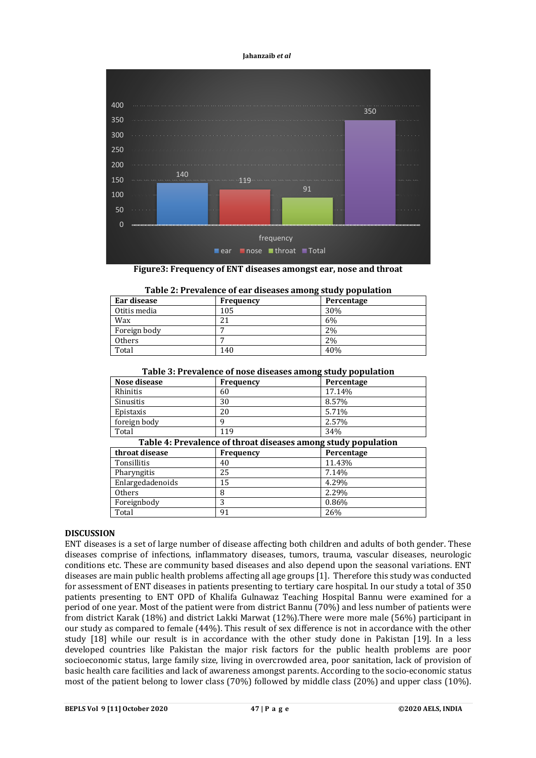

**Figure3: Frequency of ENT diseases amongst ear, nose and throat**

| Table 2: Flevalence of ear diseases alliong study population |     |               |  |
|--------------------------------------------------------------|-----|---------------|--|
| Percentage<br>Frequency                                      |     | Ear disease   |  |
| 30%                                                          | 105 | Otitis media  |  |
| 6%                                                           | 21  | Wax           |  |
| 2%                                                           |     | Foreign body  |  |
| 2%                                                           |     | <b>Others</b> |  |
| 40%                                                          | 140 | Total         |  |
|                                                              |     |               |  |

|  |  |  | Table 2: Prevalence of ear diseases among study population |
|--|--|--|------------------------------------------------------------|
|  |  |  |                                                            |

| Table 3: Prevalence of nose diseases among study population |  |  |
|-------------------------------------------------------------|--|--|
|                                                             |  |  |

| Table 3: Prevalence of hose diseases among study population   |                  |            |  |  |  |
|---------------------------------------------------------------|------------------|------------|--|--|--|
| Nose disease                                                  | <b>Frequency</b> | Percentage |  |  |  |
| Rhinitis                                                      | 60               | 17.14%     |  |  |  |
| Sinusitis                                                     | 30               | 8.57%      |  |  |  |
| Epistaxis                                                     | 20               | 5.71%      |  |  |  |
| foreign body                                                  | 9                | 2.57%      |  |  |  |
| Total                                                         | 119              | 34%        |  |  |  |
| Table 4: Prevalence of throat diseases among study population |                  |            |  |  |  |
| throat disease                                                | <b>Frequency</b> | Percentage |  |  |  |
| Tonsillitis                                                   | 40               | 11.43%     |  |  |  |
| Pharyngitis                                                   | 25               | 7.14%      |  |  |  |
| Enlargedadenoids                                              | 15               | 4.29%      |  |  |  |
| Others                                                        | 8                | 2.29%      |  |  |  |
| Foreignbody                                                   | 3                | 0.86%      |  |  |  |
| Total                                                         | 91               | 26%        |  |  |  |

# **DISCUSSION**

ENT diseases is a set of large number of disease affecting both children and adults of both gender. These diseases comprise of infections, inflammatory diseases, tumors, trauma, vascular diseases, neurologic conditions etc. These are community based diseases and also depend upon the seasonal variations. ENT diseases are main public health problems affecting all age groups [1]. Therefore this study was conducted for assessment of ENT diseases in patients presenting to tertiary care hospital. In our study a total of 350 patients presenting to ENT OPD of Khalifa Gulnawaz Teaching Hospital Bannu were examined for a period of one year. Most of the patient were from district Bannu (70%) and less number of patients were from district Karak (18%) and district Lakki Marwat (12%).There were more male (56%) participant in our study as compared to female (44%). This result of sex difference is not in accordance with the other study [18] while our result is in accordance with the other study done in Pakistan [19]. In a less developed countries like Pakistan the major risk factors for the public health problems are poor socioeconomic status, large family size, living in overcrowded area, poor sanitation, lack of provision of basic health care facilities and lack of awareness amongst parents. According to the socio-economic status most of the patient belong to lower class (70%) followed by middle class (20%) and upper class (10%).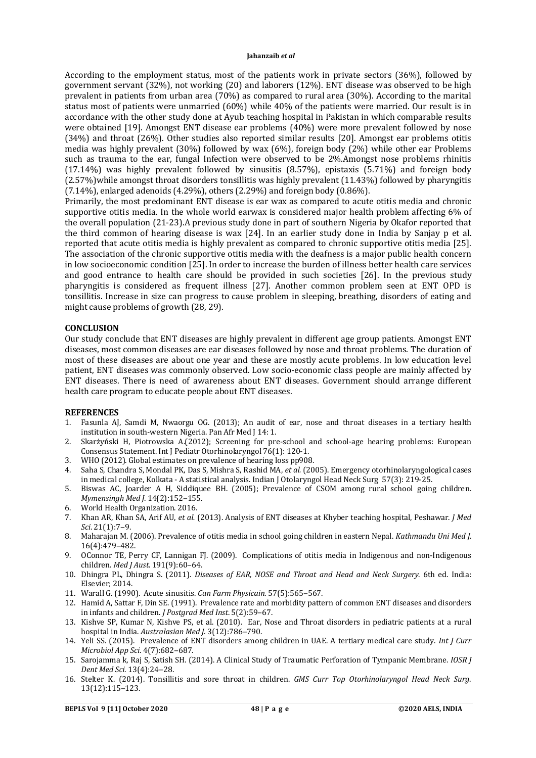According to the employment status, most of the patients work in private sectors (36%), followed by government servant (32%), not working (20) and laborers (12%). ENT disease was observed to be high prevalent in patients from urban area (70%) as compared to rural area (30%). According to the marital status most of patients were unmarried (60%) while 40% of the patients were married. Our result is in accordance with the other study done at Ayub teaching hospital in Pakistan in which comparable results were obtained [19]. Amongst ENT disease ear problems (40%) were more prevalent followed by nose (34%) and throat (26%). Other studies also reported similar results [20]. Amongst ear problems otitis media was highly prevalent (30%) followed by wax (6%), foreign body (2%) while other ear Problems such as trauma to the ear, fungal Infection were observed to be 2%.Amongst nose problems rhinitis (17.14%) was highly prevalent followed by sinusitis (8.57%), epistaxis (5.71%) and foreign body (2.57%)while amongst throat disorders tonsillitis was highly prevalent (11.43%) followed by pharyngitis (7.14%), enlarged adenoids (4.29%), others (2.29%) and foreign body (0.86%).

Primarily, the most predominant ENT disease is ear wax as compared to acute otitis media and chronic supportive otitis media. In the whole world earwax is considered major health problem affecting 6% of the overall population (21-23).A previous study done in part of southern Nigeria by Okafor reported that the third common of hearing disease is wax [24]. In an earlier study done in India by Sanjay p et al. reported that acute otitis media is highly prevalent as compared to chronic supportive otitis media [25]. The association of the chronic supportive otitis media with the deafness is a major public health concern in low socioeconomic condition [25]. In order to increase the burden of illness better health care services and good entrance to health care should be provided in such societies [26]. In the previous study pharyngitis is considered as frequent illness [27]. Another common problem seen at ENT OPD is tonsillitis. Increase in size can progress to cause problem in sleeping, breathing, disorders of eating and might cause problems of growth (28, 29).

## **CONCLUSION**

Our study conclude that ENT diseases are highly prevalent in different age group patients. Amongst ENT diseases, most common diseases are ear diseases followed by nose and throat problems. The duration of most of these diseases are about one year and these are mostly acute problems. In low education level patient, ENT diseases was commonly observed. Low socio-economic class people are mainly affected by ENT diseases. There is need of awareness about ENT diseases. Government should arrange different health care program to educate people about ENT diseases.

## **REFERENCES**

- 1. Fasunla AJ, Samdi M, Nwaorgu OG. (2013); An audit of ear, nose and throat diseases in a tertiary health institution in south-western Nigeria. Pan Afr Med J 14: 1.
- 2. Skarżyński H, Piotrowska A.(2012); Screening for pre-school and school-age hearing problems: European Consensus Statement. Int J Pediatr Otorhinolaryngol 76(1): 120-1.
- 3. WHO (2012). Global estimates on prevalence of hearing loss pp908.<br>4. Saha S, Chandra S, Mondal PK, Das S. Mishra S. Rashid MA. et al. (20
- 4. Saha S, Chandra S, Mondal PK, Das S, Mishra S, Rashid MA, *et al.* (2005). Emergency otorhinolaryngological cases in medical college, Kolkata - A statistical analysis. Indian J Otolaryngol Head Neck Surg 57(3): 219-25.
- 5. Biswas AC, Joarder A H, Siddiquee BH. (2005); Prevalence of CSOM among rural school going children. *Mymensingh Med I.* 14(2):152-155.
- 6. World Health Organization. 2016.
- 7. Khan AR, Khan SA, Arif AU, *et al.* (2013). Analysis of ENT diseases at Khyber teaching hospital, Peshawar. *J Med Sci*. 21(1):7‒9.
- 8. Maharajan M. (2006). Prevalence of otitis media in school going children in eastern Nepal. *Kathmandu Uni Med J*. 16(4):479‒482.
- 9. OConnor TE, Perry CF, Lannigan FJ. (2009). Complications of otitis media in Indigenous and non-Indigenous children. *Med J Aust*. 191(9):60‒64.
- 10. Dhingra PL, Dhingra S. (2011). *Diseases of EAR, NOSE and Throat and Head and Neck Surgery*. 6th ed. India: Elsevier; 2014.
- 11. Warall G.(1990). Acute sinusitis. *Can Farm Physicain*. 57(5):565‒567.
- 12. Hamid A, Sattar F, Din SE.(1991). Prevalence rate and morbidity pattern of common ENT diseases and disorders in infants and children. *J Postgrad Med Inst.* 5(2):59-67.
- 13. Kishve SP, Kumar N, Kishve PS, et al. (2010). Ear, Nose and Throat disorders in pediatric patients at a rural hospital in India. *Australasian Med J.* 3(12):786-790.
- 14. Yeli SS. (2015). Prevalence of ENT disorders among children in UAE. A tertiary medical care study. *Int J Curr Microbiol App Sci.* 4(7):682-687.
- 15. Sarojamma k, Raj S, Satish SH. (2014). A Clinical Study of Traumatic Perforation of Tympanic Membrane. *IOSR J Dent Med Sci*. 13(4):24‒28.
- 16. Stelter K. (2014). Tonsillitis and sore throat in children. *GMS Curr Top Otorhinolaryngol Head Neck Surg*. 13(12):115‒123.